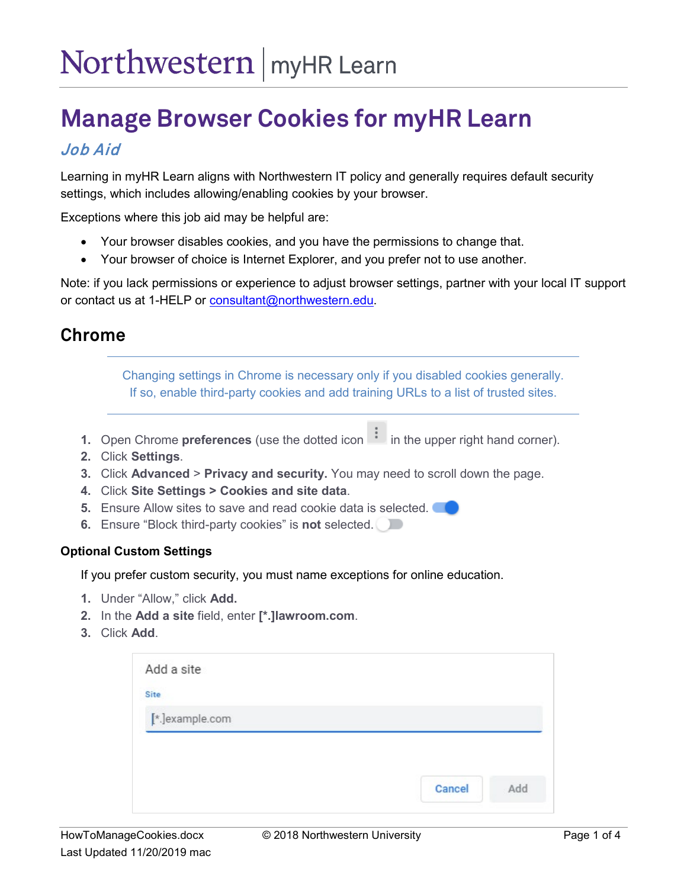# **Manage Browser Cookies for myHR Learn**

## Job Aid

Learning in myHR Learn aligns with Northwestern IT policy and generally requires default security settings, which includes allowing/enabling cookies by your browser.

Exceptions where this job aid may be helpful are:

- Your browser disables cookies, and you have the permissions to change that.
- Your browser of choice is Internet Explorer, and you prefer not to use another.

Note: if you lack permissions or experience to adjust browser settings, partner with your local IT support or contact us at 1-HELP or [consultant@northwestern.edu.](mailto:consultant@northwestern.edu)

### **Chrome**

Changing settings in Chrome is necessary only if you disabled cookies generally. If so, enable third-party cookies and add training URLs to a list of trusted sites.

- **1.** Open Chrome **preferences** (use the dotted icon in the upper right hand corner).
- **2.** Click **Settings**.
- **3.** Click **Advanced** > **Privacy and security.** You may need to scroll down the page.
- **4.** Click **Site Settings > Cookies and site data**.
- **5.** Ensure Allow sites to save and read cookie data is selected.
- **6.** Ensure "Block third-party cookies" is **not** selected.

#### **Optional Custom Settings**

If you prefer custom security, you must name exceptions for online education.

- **1.** Under "Allow," click **Add.**
- **2.** In the **Add a site** field, enter **[\*.]lawroom.com**.
- **3.** Click **Add**.

| Site            |  |
|-----------------|--|
| [*.]example.com |  |
|                 |  |
|                 |  |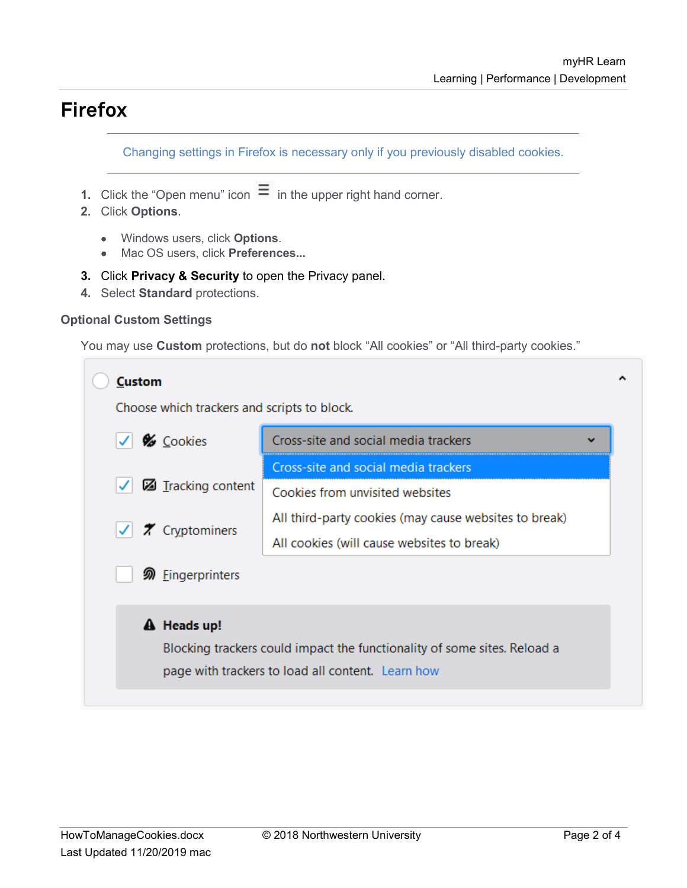# **Firefox**

Changing settings in Firefox is necessary only if you previously disabled cookies.

- **1.** Click the "Open menu" icon  $\equiv$  in the upper right hand corner.
- **2.** Click **Options**.
	- Windows users, click **Options**.
	- Mac OS users, click **Preferences...**
- **3.** Click **Privacy & Security** to open the Privacy panel.
- **4.** Select **Standard** protections.

#### **Optional Custom Settings**

You may use **Custom** protections, but do **not** block "All cookies" or "All third-party cookies."

| <b>Custom</b>                                                            |                                                       |  |  |  |
|--------------------------------------------------------------------------|-------------------------------------------------------|--|--|--|
| Choose which trackers and scripts to block.                              |                                                       |  |  |  |
| Cookies                                                                  | Cross-site and social media trackers<br>$\checkmark$  |  |  |  |
|                                                                          | Cross-site and social media trackers                  |  |  |  |
| Tracking content                                                         | Cookies from unvisited websites                       |  |  |  |
| $  \checkmark  $ <b>7</b> Cryptominers                                   | All third-party cookies (may cause websites to break) |  |  |  |
|                                                                          | All cookies (will cause websites to break)            |  |  |  |
| <b><i></i></b> Eingerprinters                                            |                                                       |  |  |  |
| A Heads up!                                                              |                                                       |  |  |  |
| Blocking trackers could impact the functionality of some sites. Reload a |                                                       |  |  |  |
|                                                                          | page with trackers to load all content. Learn how     |  |  |  |
|                                                                          |                                                       |  |  |  |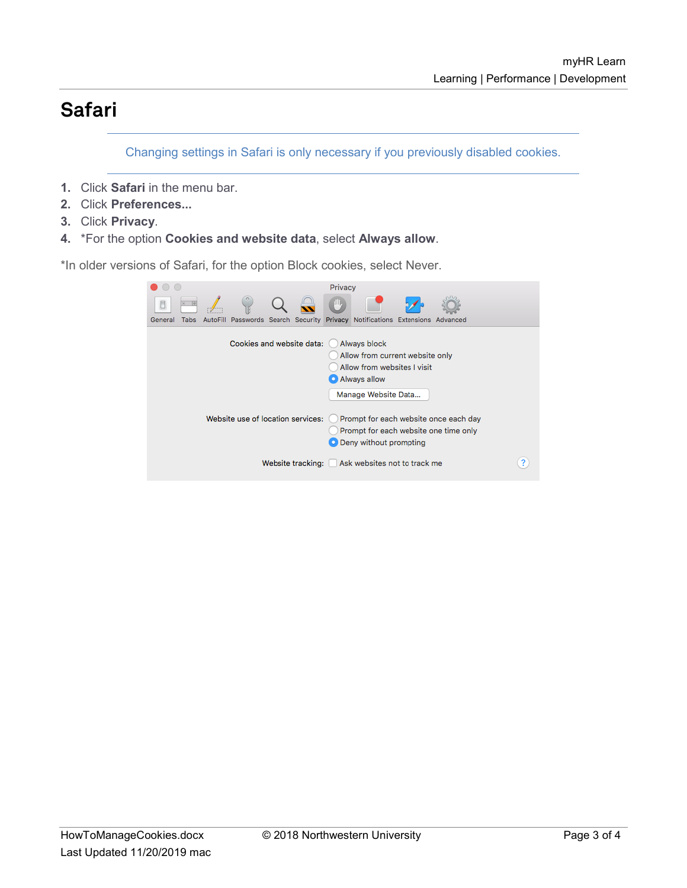# **Safari**

Changing settings in Safari is only necessary if you previously disabled cookies.

- **1.** Click **Safari** in the menu bar.
- **2.** Click **Preferences...**
- **3.** Click **Privacy**.
- **4.** \*For the option **Cookies and website data**, select **Always allow**.

\*In older versions of Safari, for the option Block cookies, select Never.

|                 |                                                                     | Privacy                                                                                                               |
|-----------------|---------------------------------------------------------------------|-----------------------------------------------------------------------------------------------------------------------|
|                 |                                                                     | μIJ,                                                                                                                  |
| Tabs<br>General | AutoFill Passwords Search Security Privacy Notifications Extensions | Advanced                                                                                                              |
|                 | Cookies and website data:                                           | Always block<br>Allow from current website only<br>Allow from websites I visit<br>Always allow<br>Manage Website Data |
|                 | Website use of location services:                                   | Prompt for each website once each day<br>Prompt for each website one time only<br>O Deny without prompting            |
|                 |                                                                     | Website tracking: Ask websites not to track me                                                                        |